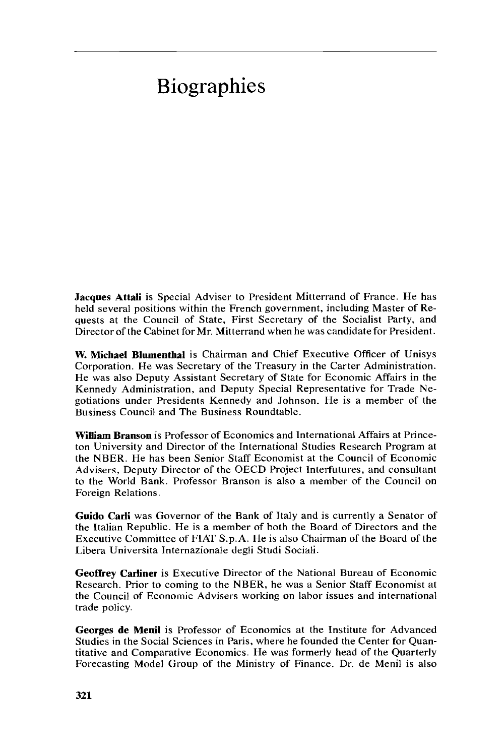## Biographies

**Jacques Attali** is Special Adviser to President Mitterrand of France. He has held several positions within the French government, including Master of Requests at the Council of State, First Secretary of the Socialist Party, and Director of the Cabinet for Mr. Mitterrand when he was candidate for President.

**W. Michael Blumenthal** is Chairman and Chief Executive Officer of Unisys Corporation. He was Secretary of the Treasury in the Carter Administration. He was also Deputy Assistant Secretary of State for Economic Affairs in the Kennedy Administration, and Deputy Special Representative for Trade Negotiations under Presidents Kennedy and Johnson. He is a member of the Business Council and The Business Roundtable.

**William Branson** is Professor of Economics and International Affairs at Princeton University and Director of the International Studies Research Program at the NBER. He has been Senior Staff Economist at the Council of Economic Advisers, Deputy Director of the OECD Project Interfutures, and consultant to the World Bank. Professor Branson is also a member of the Council on Foreign Relations.

**Guido Carli** was Governor of the Bank of Italy and is currently a Senator of the Italian Republic. He is a member of both the Board of Directors and the Executive Committee of FIAT S.p.A. He is also Chairman of the Board of the Libera Universita Internazionale degli Studi Sociali.

**Geoffrey Carliner** is Executive Director of the National Bureau of Economic Research. Prior to coming to the NBER, he was a Senior Staff Economist at the Council of Economic Advisers working on labor issues and international trade policy.

**Georges de Menil** is Professor of Economics at the Institute for Advanced Studies in the Social Sciences in Paris, where he founded the Center for Quantitative and Comparative Economics. He was formerly head of the Quarterly Forecasting Model Group of the Ministry of Finance. Dr. de Menil is also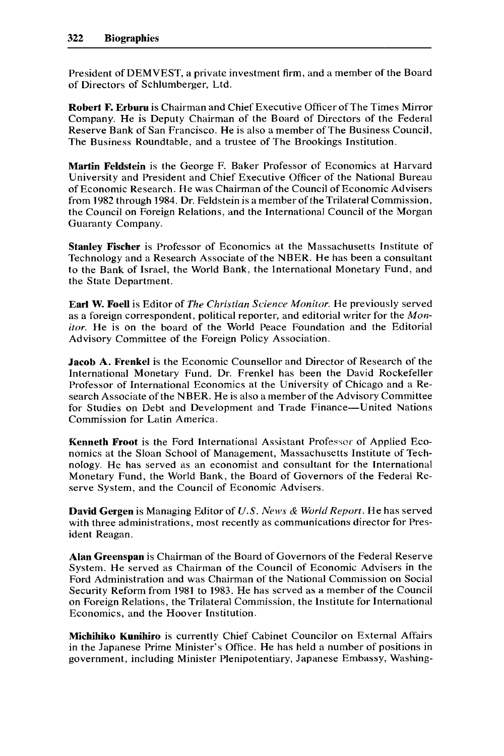President of DEMVEST, a private investment firm, and a member of the Board of Directors of Schlumberger, Ltd.

Robert F. Erburu is Chairman and Chief Executive Officer of The Times Mirror Company. He is Deputy Chairman of the Board of Directors of the Federal Reserve Bank of San Francisco. He is also a member of The Business Council, The Business Roundtable, and a trustee of The Brookings Institution.

Martin Feldstein is the George F. Baker Professor of Economics at Harvard University and President and Chief Executive Officer of the National Bureau of Economic Research. He was Chairman ofthe Council of Economic Advisers from 1982 through 1984. Dr. Feldstein is a member ofthe Trilateral Commission, the Council on Foreign Relations, and the International Council of the Morgan Guaranty Company.

Stanley Fischer is Professor of Economics at the Massachusetts Institute of Technology and a Research Associate of the NBER. He has been a consultant to the Bank of Israel, the World Bank, the International Monetary Fund, and the State Department.

Earl W. Foell is Editor of *The Christian Science Monitor.* He previously served as a foreign correspondent, political reporter, and editorial writer for the M*onitor.* He is on the board of the World Peace Foundation and the Editorial Advisory Committee of the Foreign Policy Association.

Jacob A. Frenkel is the Economic Counsellor and Director of Research of the International Monetary Fund. Dr. Frenkel has been the David Rockefeller Professor of International Economics at the University of Chicago and a Research Associate of the NBER. He is also a member of the Advisory Committee for Studies on Debt and Development and Trade Finance-United Nations Commission for Latin America.

Kenneth Froot is the Ford International Assistant Professor of Applied Economics at the Sloan School of Management, Massachusetts Institute of Technology. He has served as an economist and consultant for the International Monetary Fund, the World Bank, the Board of Governors of the Federal Reserve System, and the Council of Economic Advisers.

David Gergen is Managing Editor of *U.S. News* & *World Report.* He has served with three administrations, most recently as communications director for President Reagan.

Alan Greenspan is Chairman of the Board of Governors of the Federal Reserve System. He served as Chairman of the Council of Economic Advisers in the Ford Administration and was Chairman of the National Commission on Social Security Reform from 1981 to 1983. He has served as a member of the Council on Foreign Relations, the Trilateral Commission, the Institute for International Economics, and the Hoover Institution.

Michihiko Kunihiro is currently Chief Cabinet Councilor on External Affairs in the Japanese Prime Minister's Office. He has held a number of positions in government, including Minister Plenipotentiary, Japanese Embassy, Washing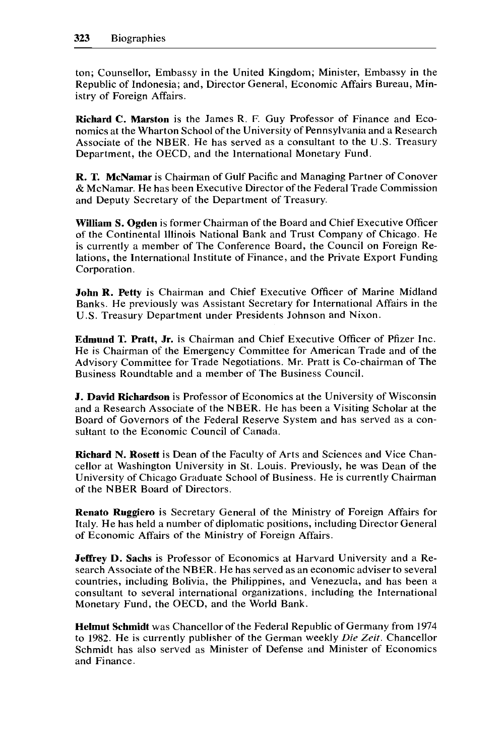ton; Counsellor, Embassy in the United Kingdom; Minister, Embassy in the Republic of Indonesia; and, Director General, Economic Affairs Bureau, Ministry of Foreign Affairs.

Richard C. Marston is the James R. F. Guy Professor of Finance and Economics at the Wharton School of the University of Pennsylvania and a Research Associate of the NBER. He has served as a consultant to the U.S. Treasury Department, the OECD, and the International Monetary Fund.

R. T. McNamar is Chairman of Gulf Pacific and Managing Partner of Conover & McNamar. He has been Executive Director ofthe Federal Trade Commission and Deputy Secretary of the Department of Treasury.

William S. Ogden is former Chairman of the Board and Chief Executive Officer of the Continental Illinois National Bank and Trust Company of Chicago. He is currently a member of The Conference Board, the Council on Foreign Relations, the International Institute of Finance, and the Private Export Funding Corporation.

John R. Petty is Chairman and Chief Executive Officer of Marine Midland Banks. He previously was Assistant Secretary for International Affairs in the U.S. Treasury Department under Presidents Johnson and Nixon.

Edmund T. Pratt, Jr. is Chairman and Chief Executive Officer of Pfizer Inc. He is Chairman of the Emergency Committee for American Trade and of the Advisory Committee for Trade Negotiations. Mr. Pratt is Co-chairman of The Business Roundtable and a member of The Business Council.

**J. David Richardson** is Professor of Economics at the University of Wisconsin and a Research Associate of the NBER. He has been a Visiting Scholar at the Board of Governors of the Federal Reserve System and has served as a consultant to the Economic Council of Canada.

Richard N. Rosett is Dean of the Faculty of Arts and Sciences and Vice Chancellor at Washington University in St. Louis. Previously, he was Dean of the University of Chicago Graduate School of Business. He is currently Chairman of the NBER Board of Directors.

Renato Ruggiero is Secretary General of the Ministry of Foreign Affairs for Italy. He has held a number of diplomatic positions, including Director General of Economic Affairs of the Ministry of Foreign Affairs.

Jeffrey D. Sachs is Professor of Economics at Harvard University and a Research Associate of the NBER. He has served as an economic adviser to several countries, including Bolivia, the Philippines, and Venezuela, and has been a consultant to several international organizations, including the International Monetary Fund, the *DECD,* and the World Bank.

Helmut Schmidt was Chancellor ofthe Federal Republic of Germany from 1974 to 1982. He is currently publisher of the German weekly *Die Zeit.* Chancellor Schmidt has also served as Minister of Defense and Minister of Economics and Finance.